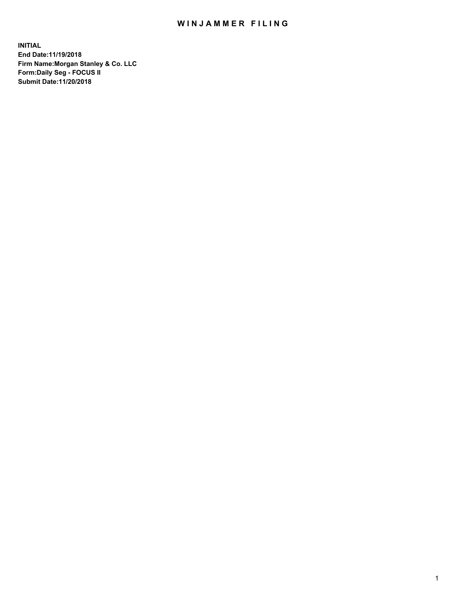## WIN JAMMER FILING

**INITIAL End Date:11/19/2018 Firm Name:Morgan Stanley & Co. LLC Form:Daily Seg - FOCUS II Submit Date:11/20/2018**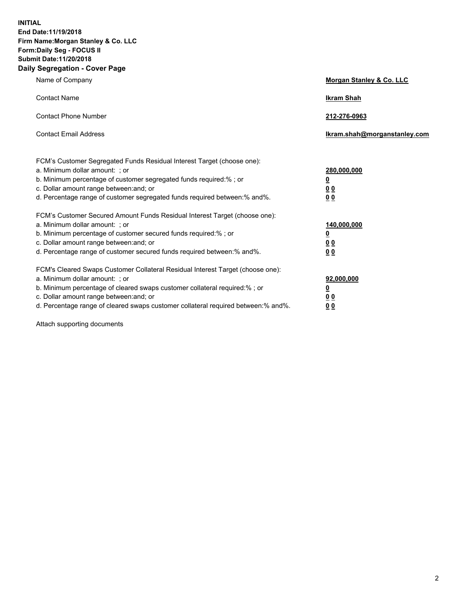**INITIAL End Date:11/19/2018 Firm Name:Morgan Stanley & Co. LLC Form:Daily Seg - FOCUS II Submit Date:11/20/2018 Daily Segregation - Cover Page**

| Name of Company                                                                                                                                                                                                                                                                                                                | Morgan Stanley & Co. LLC                               |
|--------------------------------------------------------------------------------------------------------------------------------------------------------------------------------------------------------------------------------------------------------------------------------------------------------------------------------|--------------------------------------------------------|
| <b>Contact Name</b>                                                                                                                                                                                                                                                                                                            | <b>Ikram Shah</b>                                      |
| <b>Contact Phone Number</b>                                                                                                                                                                                                                                                                                                    | 212-276-0963                                           |
| <b>Contact Email Address</b>                                                                                                                                                                                                                                                                                                   | lkram.shah@morganstanley.com                           |
| FCM's Customer Segregated Funds Residual Interest Target (choose one):<br>a. Minimum dollar amount: : or<br>b. Minimum percentage of customer segregated funds required:% ; or<br>c. Dollar amount range between: and; or<br>d. Percentage range of customer segregated funds required between:% and%.                         | 280,000,000<br><u>0</u><br>00<br>00                    |
| FCM's Customer Secured Amount Funds Residual Interest Target (choose one):<br>a. Minimum dollar amount: ; or<br>b. Minimum percentage of customer secured funds required:%; or<br>c. Dollar amount range between: and; or<br>d. Percentage range of customer secured funds required between:% and%.                            | 140,000,000<br><u>0</u><br><u>00</u><br>0 <sub>0</sub> |
| FCM's Cleared Swaps Customer Collateral Residual Interest Target (choose one):<br>a. Minimum dollar amount: ; or<br>b. Minimum percentage of cleared swaps customer collateral required:% ; or<br>c. Dollar amount range between: and; or<br>d. Percentage range of cleared swaps customer collateral required between:% and%. | 92,000,000<br><u>0</u><br><u>00</u><br>0 <sub>0</sub>  |

Attach supporting documents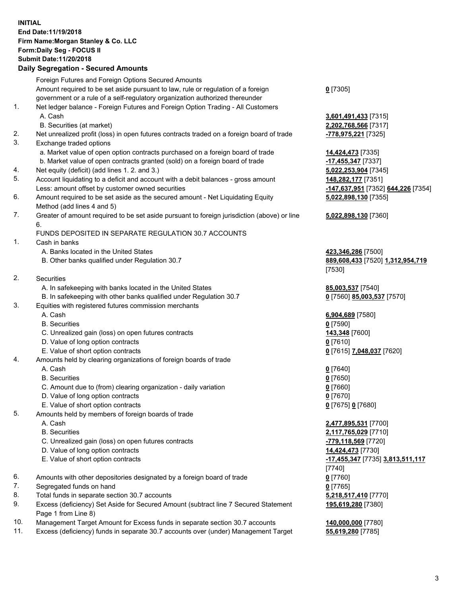## **INITIAL End Date:11/19/2018 Firm Name:Morgan Stanley & Co. LLC Form:Daily Seg - FOCUS II Submit Date:11/20/2018**

## **Daily Segregation - Secured Amounts**

Foreign Futures and Foreign Options Secured Amounts Amount required to be set aside pursuant to law, rule or regulation of a foreign government or a rule of a self-regulatory organization authorized thereunder 1. Net ledger balance - Foreign Futures and Foreign Option Trading - All Customers A. Cash **3,601,491,433** [7315] B. Securities (at market) **2,202,768,566** [7317] 2. Net unrealized profit (loss) in open futures contracts traded on a foreign board of trade **-778,975,221** [7325] 3. Exchange traded options a. Market value of open option contracts purchased on a foreign board of trade **14,424,473** [7335] b. Market value of open contracts granted (sold) on a foreign board of trade **-17,455,347** [7337] 4. Net equity (deficit) (add lines 1. 2. and 3.) **5,022,253,904** [7345] 5. Account liquidating to a deficit and account with a debit balances - gross amount **148,282,177** [7351] Less: amount offset by customer owned securities **-147,637,951** [7352] **644,226** [7354] 6. Amount required to be set aside as the secured amount - Net Liquidating Equity Method (add lines 4 and 5) 7. Greater of amount required to be set aside pursuant to foreign jurisdiction (above) or line 6. FUNDS DEPOSITED IN SEPARATE REGULATION 30.7 ACCOUNTS 1. Cash in banks A. Banks located in the United States **423,346,286** [7500] B. Other banks qualified under Regulation 30.7 **889,608,433** [7520] **1,312,954,719** 2. Securities A. In safekeeping with banks located in the United States **85,003,537** [7540] B. In safekeeping with other banks qualified under Regulation 30.7 **0** [7560] **85,003,537** [7570] 3. Equities with registered futures commission merchants A. Cash **6,904,689** [7580] B. Securities **0** [7590] C. Unrealized gain (loss) on open futures contracts **143,348** [7600] D. Value of long option contracts **0** [7610] E. Value of short option contracts **0** [7615] **7,048,037** [7620] 4. Amounts held by clearing organizations of foreign boards of trade A. Cash **0** [7640] B. Securities **0** [7650] C. Amount due to (from) clearing organization - daily variation **0** [7660] D. Value of long option contracts **0** [7670] E. Value of short option contracts **0** [7675] **0** [7680] 5. Amounts held by members of foreign boards of trade A. Cash **2,477,895,531** [7700] B. Securities **2,117,765,029** [7710] C. Unrealized gain (loss) on open futures contracts **-779,118,569** [7720] D. Value of long option contracts **14,424,473** [7730] E. Value of short option contracts **-17,455,347** [7735] **3,813,511,117** 6. Amounts with other depositories designated by a foreign board of trade **0** [7760] 7. Segregated funds on hand **0** [7765] 8. Total funds in separate section 30.7 accounts **5,218,517,410** [7770] 9. Excess (deficiency) Set Aside for Secured Amount (subtract line 7 Secured Statement Page 1 from Line 8)

- 10. Management Target Amount for Excess funds in separate section 30.7 accounts **140,000,000** [7780]
- 11. Excess (deficiency) funds in separate 30.7 accounts over (under) Management Target **55,619,280** [7785]

**0** [7305]

**5,022,898,130** [7355]

## **5,022,898,130** [7360]

[7530]

[7740] **195,619,280** [7380]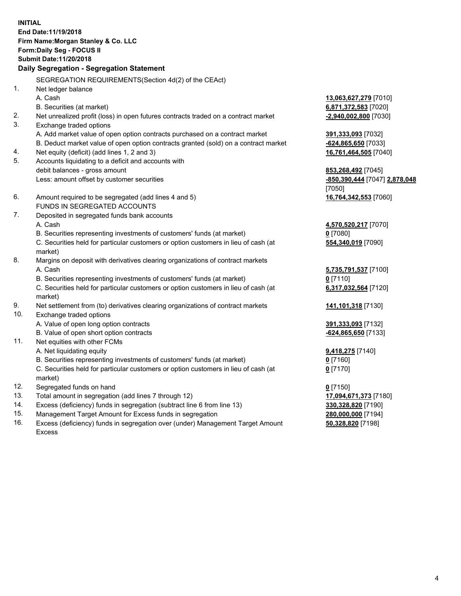**INITIAL End Date:11/19/2018 Firm Name:Morgan Stanley & Co. LLC Form:Daily Seg - FOCUS II Submit Date:11/20/2018 Daily Segregation - Segregation Statement** SEGREGATION REQUIREMENTS(Section 4d(2) of the CEAct) 1. Net ledger balance A. Cash **13,063,627,279** [7010] B. Securities (at market) **6,871,372,583** [7020] 2. Net unrealized profit (loss) in open futures contracts traded on a contract market **-2,940,002,800** [7030] 3. Exchange traded options A. Add market value of open option contracts purchased on a contract market **391,333,093** [7032] B. Deduct market value of open option contracts granted (sold) on a contract market **-624,865,650** [7033] 4. Net equity (deficit) (add lines 1, 2 and 3) **16,761,464,505** [7040] 5. Accounts liquidating to a deficit and accounts with debit balances - gross amount **853,268,492** [7045] Less: amount offset by customer securities **-850,390,444** [7047] **2,878,048** [7050] 6. Amount required to be segregated (add lines 4 and 5) **16,764,342,553** [7060] FUNDS IN SEGREGATED ACCOUNTS 7. Deposited in segregated funds bank accounts A. Cash **4,570,520,217** [7070] B. Securities representing investments of customers' funds (at market) **0** [7080] C. Securities held for particular customers or option customers in lieu of cash (at market) **554,340,019** [7090] 8. Margins on deposit with derivatives clearing organizations of contract markets A. Cash **5,735,791,537** [7100] B. Securities representing investments of customers' funds (at market) **0** [7110] C. Securities held for particular customers or option customers in lieu of cash (at market) **6,317,032,564** [7120] 9. Net settlement from (to) derivatives clearing organizations of contract markets **141,101,318** [7130] 10. Exchange traded options A. Value of open long option contracts **391,333,093** [7132] B. Value of open short option contracts **-624,865,650** [7133] 11. Net equities with other FCMs A. Net liquidating equity **9,418,275** [7140] B. Securities representing investments of customers' funds (at market) **0** [7160] C. Securities held for particular customers or option customers in lieu of cash (at market) **0** [7170] 12. Segregated funds on hand **0** [7150] 13. Total amount in segregation (add lines 7 through 12) **17,094,671,373** [7180] 14. Excess (deficiency) funds in segregation (subtract line 6 from line 13) **330,328,820** [7190]

- 15. Management Target Amount for Excess funds in segregation **280,000,000** [7194]
- 16. Excess (deficiency) funds in segregation over (under) Management Target Amount Excess

**50,328,820** [7198]